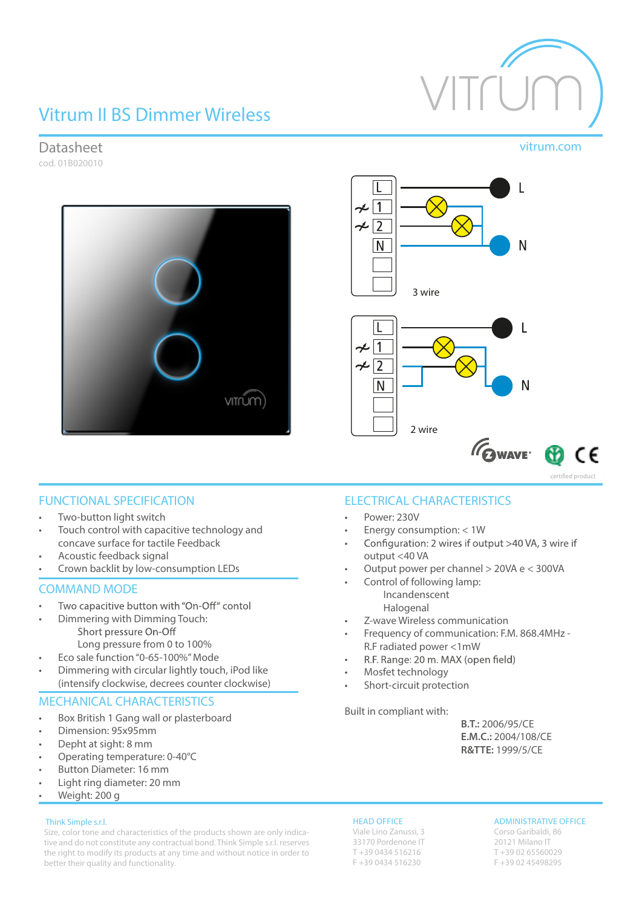# Vitrum II BS Dimmer Wireless



# Datasheet vitrum.com

cod. 01B020010





# FUNCTIONAL SPECIFICATION

- Two-button light switch
- Touch control with capacitive technology and concave surface for tactile Feedback
- Acoustic feedback signal
- Crown backlit by low-consumption LEDs

### COMMAND MODE

- Two capacitive button with "On-Off" contol •
- Dimmering with Dimming Touch: Short pressure On-Off Long pressure from 0 to 100%
	- Eco sale function"0-65-100%"Mode
- Dimmering with circular lightly touch, iPod like (intensify clockwise, decrees counter clockwise)

# MECHANICAL CHARACTERISTICS

- Box British 1 Gang wall or plasterboard
- Dimension: 95x95mm
- Depht at sight: 8 mm
- Operating temperature: 0-40°C
- Button Diameter: 16 mm
- Light ring diameter: 20 mm

# • Weight: 200 g

### Think Simple s.r.l.

Size, color tone and characteristics of the products shown are only indicative and do not constitute any contractual bond. Think Simple s.r.l. reserves the right to modify its products at any time and without notice in order to better their quality and functionality.

# ELECTRICAL CHARACTERISTICS

- Power: 230V
- Energy consumption: < 1W
- Configuration: 2 wires if output >40 VA, 3 wire if • output <40 VA
- Output power per channel > 20VA e < 300VA
	- Control of following lamp: Incandenscent Halogenal
- Z-wave Wireless communication
- Frequency of communication: F.M. 868.4MHz R.F radiated power <1mW
- R.F. Range: 20 m. MAX (open field) •
- Mosfet technology
- Short-circuit protection

Built in compliant with:

 **B.T.:** 2006/95/CE **E.M.C.:** 2004/108/CE **R&TTE:** 1999/5/CE

### HEAD OFFICE

Viale Lino Zanussi, 3 33170 Pordenone IT T +39 0434 516216 F +39 0434 516230

### ADMINISTRATIVE OFFICE

Corso Garibaldi, 86 20121 Milano IT T +39 02 65560029 F +39 02 45498295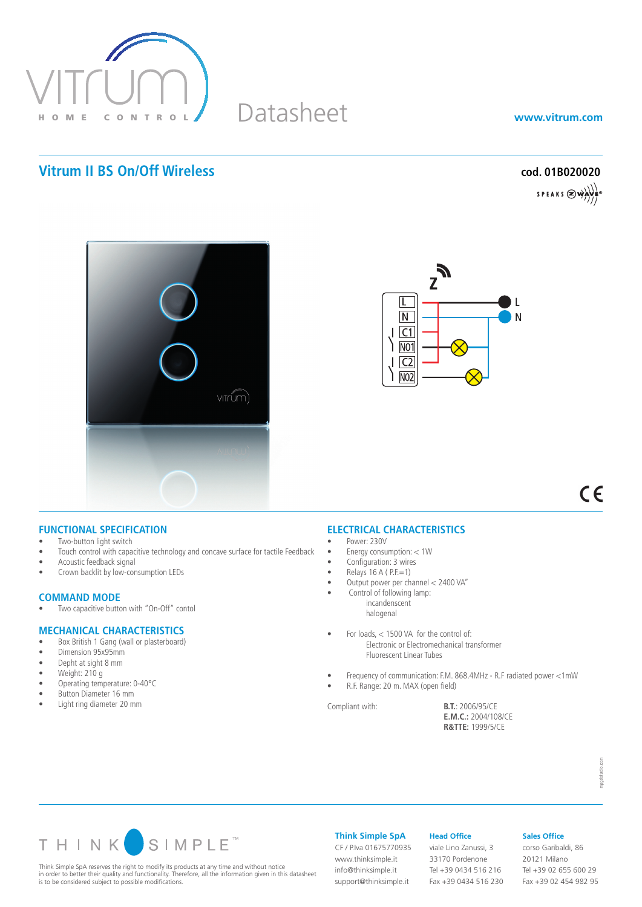

# Datasheet

**www.vitrum.com**

# **Vitrum II BS On/Off Wireless cod. 01B020020**

SPEAKS  $\bigotimes$  which





 $C \in$ 

### **FUNCTIONAL SPECIFICATION**

- Two-button light switch
- Touch control with capacitive technology and concave surface for tactile Feedback
- Acoustic feedback signal
- Crown backlit by low-consumption LEDs

# **COMMAND MODE**<br>• Two capacitive butto

Two capacitive button with "On-Off" contol

### **MECHANICAL CHARACTERISTICS**

- Box British 1 Gang (wall or plasterboard)
- • Dimension 95x95mm
- Depht at sight 8 mm
- Weight: 210 g
- • Operating temperature: 0-40°C
- • Button Diameter 16 mm
- • Light ring diameter 20 mm

## **ELECTRICAL CHARACTERISTICS**

- Power: 230V
- Energy consumption:  $< 1$ W
- Configuration: 3 wires
- $Relays$  16 A (  $P.E=1$ )
- • Output power per channel < 2400 VA"
	- Control of following lamp: incandenscent
	- halogenal
- For loads,  $<$  1500 VA for the control of: Electronic or Electromechanical transformer Fluorescent Linear Tubes
- Frequency of communication: F.M. 868.4MHz R.F radiated power <1mW
- R.F. Range: 20 m. MAX (open field)

Compliant with: **B.T.**: 2006/95/CE **E.M.C.:** 2004/108/CE **R&TTE:** 1999/5/CE



Think Simple SpA reserves the right to modify its products at any time and without notice in order to better their quality and functionality. Therefore, all the information given in this datasheet is to be considered subject to possible modifications.

**Think Simple SpA**

CF / P.Iva 01675770935 www.thinksimple.it info@thinksimple.it support@thinksimple.it

#### **Head Office**

viale Lino Zanussi, 3 33170 Pordenone Tel +39 0434 516 216 Fax +39 0434 516 230

# **Sales Office**

corso Garibaldi, 86 20121 Milano Tel +39 02 655 600 29 Fax +39 02 454 982 95